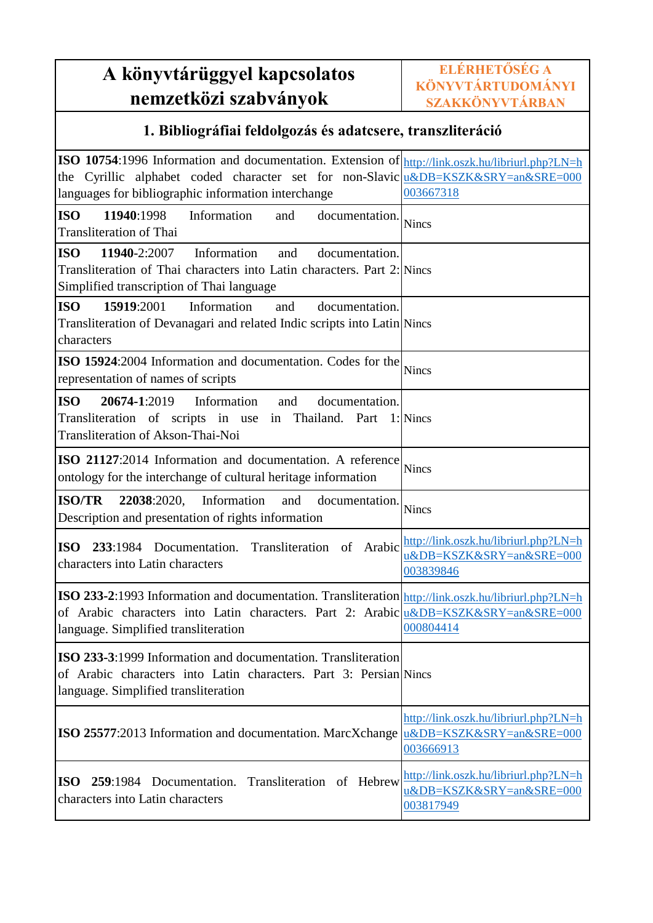## **A könyvtárüggyel kapcsolatos nemzetközi szabványok**

### **1. Bibliográfiai feldolgozás és adatcsere, transzliteráció**

| ISO 10754:1996 Information and documentation. Extension of http://link.oszk.hu/libriurl.php?LN=h<br>the Cyrillic alphabet coded character set for non-Slavic u&DB=KSZK&SRY=an&SRE=000<br>languages for bibliographic information interchange | 003667318                                                                      |
|----------------------------------------------------------------------------------------------------------------------------------------------------------------------------------------------------------------------------------------------|--------------------------------------------------------------------------------|
| <b>ISO</b><br>Information<br>11940:1998<br>and<br>documentation.<br><b>Transliteration of Thai</b>                                                                                                                                           | <b>Nincs</b>                                                                   |
| <b>ISO</b><br>11940-2:2007<br>Information<br>and<br>documentation.<br>Transliteration of Thai characters into Latin characters. Part 2: Nincs<br>Simplified transcription of Thai language                                                   |                                                                                |
| <b>ISO</b><br>15919:2001<br>Information<br>and<br>documentation.<br>Transliteration of Devanagari and related Indic scripts into Latin Nincs<br>characters                                                                                   |                                                                                |
| ISO 15924:2004 Information and documentation. Codes for the<br>representation of names of scripts                                                                                                                                            | <b>Nincs</b>                                                                   |
| <b>ISO</b><br>20674-1:2019<br>Information<br>documentation.<br>and<br>Transliteration of scripts in use<br>in Thailand. Part<br>Transliteration of Akson-Thai-Noi                                                                            | 1: Nincs                                                                       |
| ISO 21127:2014 Information and documentation. A reference<br>ontology for the interchange of cultural heritage information                                                                                                                   | <b>Nincs</b>                                                                   |
| <b>ISO/TR</b><br>22038:2020,<br>Information<br>and<br>documentation.<br>Description and presentation of rights information                                                                                                                   | <b>Nincs</b>                                                                   |
| 233:1984 Documentation. Transliteration of Arabic<br><b>ISO</b><br>characters into Latin characters                                                                                                                                          | http://link.oszk.hu/libriurl.php?LN=h<br>u&DB=KSZK&SRY=an&SRE=000<br>003839846 |
| ISO 233-2:1993 Information and documentation. Transliteration http://link.oszk.hu/libriurl.php?LN=h<br>of Arabic characters into Latin characters. Part 2: Arabic u&DB=KSZK&SRY=an&SRE=000<br>language. Simplified transliteration           | 000804414                                                                      |
| <b>ISO 233-3:1999</b> Information and documentation. Transliteration<br>of Arabic characters into Latin characters. Part 3: Persian Nincs<br>language. Simplified transliteration                                                            |                                                                                |
| ISO 25577:2013 Information and documentation. MarcXchange                                                                                                                                                                                    | http://link.oszk.hu/libriurl.php?LN=h<br>u&DB=KSZK&SRY=an&SRE=000<br>003666913 |
| 259:1984 Documentation. Transliteration of Hebrew<br><b>ISO</b><br>characters into Latin characters                                                                                                                                          | http://link.oszk.hu/libriurl.php?LN=h<br>u&DB=KSZK&SRY=an&SRE=000<br>003817949 |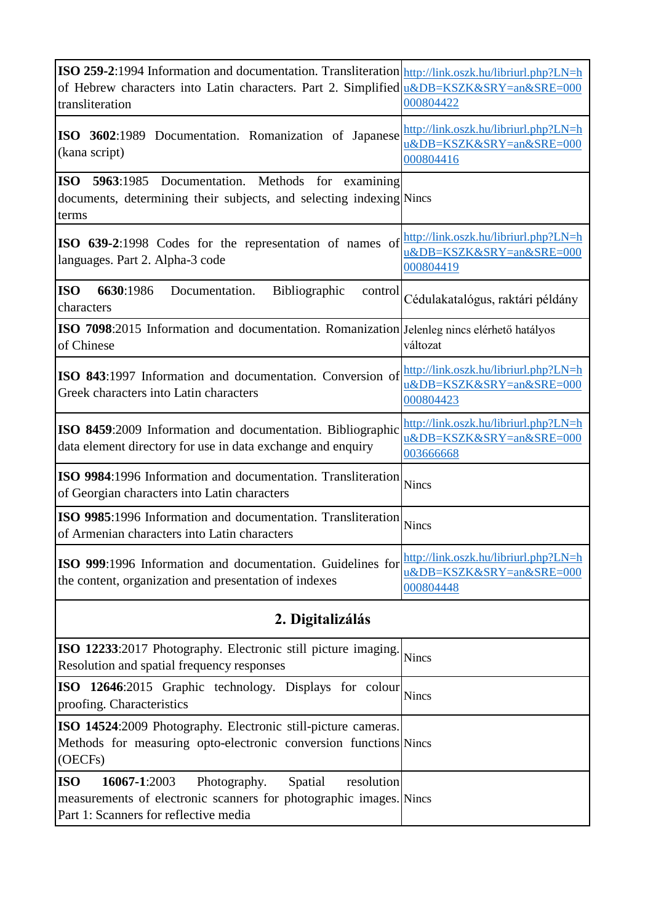| ISO 259-2:1994 Information and documentation. Transliteration http://link.oszk.hu/libriurl.php?LN=h<br>of Hebrew characters into Latin characters. Part 2. Simplified u&DB=KSZK&SRY=an&SRE=000<br>transliteration | 000804422                                                                      |
|-------------------------------------------------------------------------------------------------------------------------------------------------------------------------------------------------------------------|--------------------------------------------------------------------------------|
| ISO 3602:1989 Documentation. Romanization of Japanese<br>(kana script)                                                                                                                                            | http://link.oszk.hu/libriurl.php?LN=h<br>u&DB=KSZK&SRY=an&SRE=000<br>000804416 |
| ISO 5963:1985 Documentation. Methods for examining<br>documents, determining their subjects, and selecting indexing Nincs<br>terms                                                                                |                                                                                |
| <b>ISO 639-2:1998</b> Codes for the representation of names of<br>languages. Part 2. Alpha-3 code                                                                                                                 | http://link.oszk.hu/libriurl.php?LN=h<br>u&DB=KSZK&SRY=an&SRE=000<br>000804419 |
| <b>ISO</b><br>6630:1986<br>Documentation.<br><b>Bibliographic</b><br>control<br>characters                                                                                                                        | Cédulakatalógus, raktári példány                                               |
| ISO 7098:2015 Information and documentation. Romanization Jelenleg nincs elérhető hatályos<br>of Chinese                                                                                                          | változat                                                                       |
| ISO 843:1997 Information and documentation. Conversion of<br>Greek characters into Latin characters                                                                                                               | http://link.oszk.hu/libriurl.php?LN=h<br>u&DB=KSZK&SRY=an&SRE=000<br>000804423 |
| <b>ISO 8459:2009</b> Information and documentation. Bibliographic<br>data element directory for use in data exchange and enquiry                                                                                  | http://link.oszk.hu/libriurl.php?LN=h<br>u&DB=KSZK&SRY=an&SRE=000<br>003666668 |
| <b>ISO 9984:1996 Information and documentation. Transliteration</b><br>of Georgian characters into Latin characters                                                                                               | <b>Nincs</b>                                                                   |
| ISO 9985:1996 Information and documentation. Transliteration<br>of Armenian characters into Latin characters                                                                                                      | <b>Nincs</b>                                                                   |
| <b>ISO 999:1996</b> Information and documentation. Guidelines for<br>the content, organization and presentation of indexes                                                                                        | http://link.oszk.hu/libriurl.php?LN=h<br>u&DB=KSZK&SRY=an&SRE=000<br>000804448 |
| 2. Digitalizálás                                                                                                                                                                                                  |                                                                                |
| <b>ISO 12233:</b> 2017 Photography. Electronic still picture imaging.<br>Resolution and spatial frequency responses                                                                                               | <b>Nincs</b>                                                                   |
| ISO 12646:2015 Graphic technology. Displays for colour<br>proofing. Characteristics                                                                                                                               | Nincs                                                                          |
| <b>ISO 14524:2009 Photography. Electronic still-picture cameras.</b><br>Methods for measuring opto-electronic conversion functions Nincs<br>(OECFs)                                                               |                                                                                |
| <b>ISO</b><br>16067-1:2003<br>Photography.<br>Spatial<br>resolution<br>measurements of electronic scanners for photographic images. Nincs<br>Part 1: Scanners for reflective media                                |                                                                                |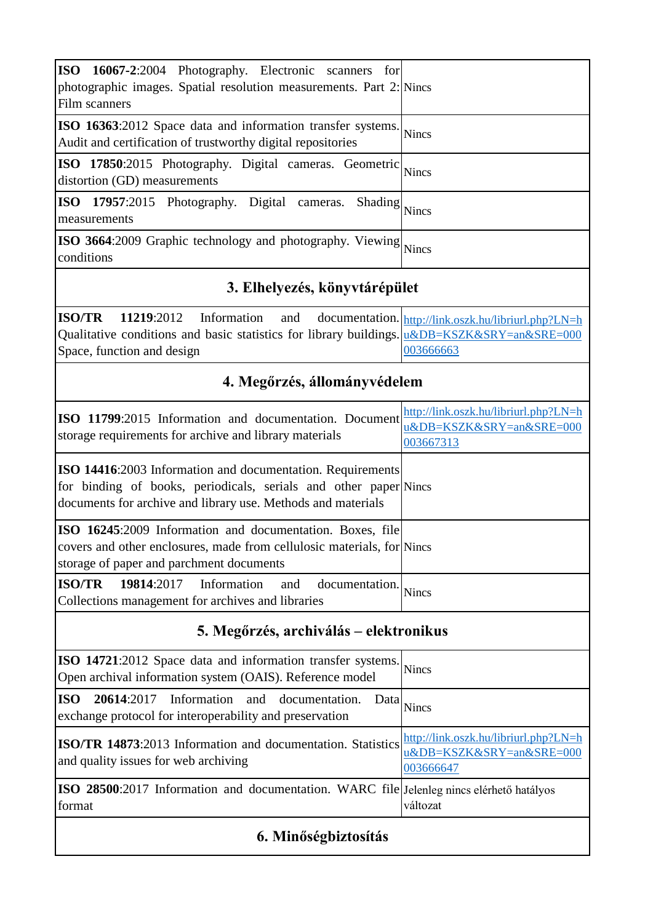| <b>ISO</b><br>16067-2:2004 Photography. Electronic scanners<br>for<br>photographic images. Spatial resolution measurements. Part 2: Nincs<br>Film scanners                  |                                                                                |  |
|-----------------------------------------------------------------------------------------------------------------------------------------------------------------------------|--------------------------------------------------------------------------------|--|
| ISO 16363:2012 Space data and information transfer systems.<br>Audit and certification of trustworthy digital repositories                                                  | Nincs                                                                          |  |
| ISO 17850:2015 Photography. Digital cameras. Geometric<br>distortion (GD) measurements                                                                                      | <b>Nincs</b>                                                                   |  |
| <b>ISO</b><br>17957:2015 Photography. Digital cameras.<br>Shading<br>measurements                                                                                           | <b>Nincs</b>                                                                   |  |
| <b>ISO 3664</b> :2009 Graphic technology and photography. Viewing<br>conditions                                                                                             | <b>Nincs</b>                                                                   |  |
| 3. Elhelyezés, könyvtárépület                                                                                                                                               |                                                                                |  |
| <b>ISO/TR</b><br>11219:2012<br>Information and<br>Qualitative conditions and basic statistics for library buildings. u&DB=KSZK&SRY=an&SRE=000<br>Space, function and design | documentation. http://link.oszk.hu/libriurl.php?LN=h<br>003666663              |  |
| 4. Megőrzés, állományvédelem                                                                                                                                                |                                                                                |  |
| ISO 11799:2015 Information and documentation. Document<br>storage requirements for archive and library materials                                                            | http://link.oszk.hu/libriurl.php?LN=h<br>u&DB=KSZK&SRY=an&SRE=000<br>003667313 |  |

for binding of books, periodicals, serials and other paper Nincs **ISO 14416**:2003 Information and documentation. Requirements documents for archive and library use. Methods and materials

| ISO 16245:2009 Information and documentation. Boxes, file                                                       |  |
|-----------------------------------------------------------------------------------------------------------------|--|
| covers and other enclosures, made from cellulosic materials, for Nincs                                          |  |
| storage of paper and parchment documents                                                                        |  |
| $\begin{bmatrix} \n\text{ISO}/\text{TR} & \n\text{19814:2017} & \n\end{bmatrix}$ Information and documentation. |  |
| Collections management for archives and libraries                                                               |  |

#### **5. Megőrzés, archiválás – elektronikus**

| ISO 14721:2012 Space data and information transfer systems. Nincs<br>Open archival information system (OAIS). Reference model             |                                       |
|-------------------------------------------------------------------------------------------------------------------------------------------|---------------------------------------|
| <b>ISO</b><br>20614:2017 Information and documentation.<br>Data<br>exchange protocol for interoperability and preservation                | <b>Nincs</b>                          |
| ISO/TR 14873:2013 Information and documentation. Statistics http://link.oszk.hu/libriurl.php?LN=h<br>and quality issues for web archiving | u&DB=KSZK&SRY=an&SRE=000<br>003666647 |
| <b>ISO 28500:</b> 2017 Information and documentation. WARC file Jelenleg nincs elérhető hatályos<br>format                                | változat                              |

#### **6. Minőségbiztosítás**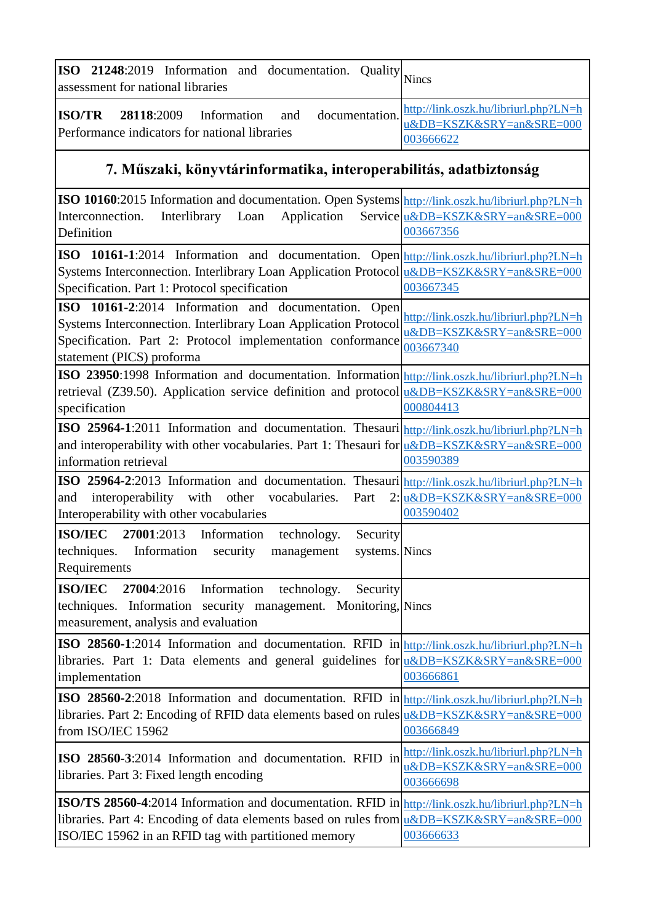| <b>ISO</b> 21248:2019 Information and documentation. Quality $\big _{\text{Nincs}}$<br>assessment for national libraries                                                                                  |           |
|-----------------------------------------------------------------------------------------------------------------------------------------------------------------------------------------------------------|-----------|
| <b>28118:2009</b> Information and documentation. $\frac{\text{http://link.oszk.hu/libriurl.php?LN=h}}{\text{u&DB=KSZK&SRY=an&SRE=000}}$<br><b>ISO/TR</b><br>Performance indicators for national libraries | 003666622 |

## **7. Műszaki, könyvtárinformatika, interoperabilitás, adatbiztonság**

| ISO 10160:2015 Information and documentation. Open Systems http://link.oszk.hu/libriurl.php?LN=h |                                                                   |
|--------------------------------------------------------------------------------------------------|-------------------------------------------------------------------|
| Interlibrary<br>Application<br>Interconnection.<br>Loan                                          | Service u&DB=KSZK&SRY=an&SRE=000                                  |
| Definition                                                                                       | 003667356                                                         |
| ISO 10161-1:2014 Information and documentation. Open http://link.oszk.hu/libriurl.php?LN=h       |                                                                   |
| Systems Interconnection. Interlibrary Loan Application Protocol u&DB=KSZK&SRY=an&SRE=000         |                                                                   |
| Specification. Part 1: Protocol specification                                                    | 003667345                                                         |
| ISO 10161-2:2014 Information and documentation.<br>Open                                          |                                                                   |
| Systems Interconnection. Interlibrary Loan Application Protocol                                  | http://link.oszk.hu/libriurl.php?LN=h<br>u&DB=KSZK&SRY=an&SRE=000 |
| Specification. Part 2: Protocol implementation conformance                                       | 003667340                                                         |
| statement (PICS) proforma                                                                        |                                                                   |
| ISO 23950:1998 Information and documentation. Information http://link.oszk.hu/libriurl.php?LN=h  |                                                                   |
| retrieval (Z39.50). Application service definition and protocol u&DB=KSZK&SRY=an&SRE=000         |                                                                   |
| specification                                                                                    | 000804413                                                         |
| ISO 25964-1:2011 Information and documentation. Thesauri http://link.oszk.hu/libriurl.php?LN=h   |                                                                   |
| and interoperability with other vocabularies. Part 1: Thesauri for u&DB=KSZK&SRY=an&SRE=000      |                                                                   |
| information retrieval                                                                            | 003590389                                                         |
| ISO 25964-2:2013 Information and documentation. Thesauri http://link.oszk.hu/libriurl.php?LN=h   |                                                                   |
| interoperability with other<br>and<br>vocabularies.<br>Part                                      | 2: u&DB=KSZK&SRY=an&SRE=000                                       |
| Interoperability with other vocabularies                                                         | 003590402                                                         |
| <b>ISO/IEC</b><br>27001:2013 Information<br>technology.<br>Security                              |                                                                   |
| techniques.<br>Information<br>systems. Nincs<br>security<br>management                           |                                                                   |
| Requirements                                                                                     |                                                                   |
| <b>ISO/IEC</b><br>Information technology.<br>27004:2016<br>Security                              |                                                                   |
| techniques. Information security management. Monitoring, Nincs                                   |                                                                   |
| measurement, analysis and evaluation                                                             |                                                                   |
| ISO 28560-1:2014 Information and documentation. RFID in http://link.oszk.hu/libriurl.php?LN=h    |                                                                   |
| libraries. Part 1: Data elements and general guidelines for u&DB=KSZK&SRY=an&SRE=000             |                                                                   |
| implementation                                                                                   | 003666861                                                         |
| ISO 28560-2:2018 Information and documentation. RFID in http://link.oszk.hu/libriurl.php?LN=h    |                                                                   |
| libraries. Part 2: Encoding of RFID data elements based on rules u&DB=KSZK&SRY=an&SRE=000        |                                                                   |
| from ISO/IEC 15962                                                                               | 003666849                                                         |
| ISO 28560-3:2014 Information and documentation. RFID in                                          | http://link.oszk.hu/libriurl.php?LN=h                             |
| libraries. Part 3: Fixed length encoding                                                         | u&DB=KSZK&SRY=an&SRE=000                                          |
|                                                                                                  | 003666698                                                         |
| ISO/TS 28560-4:2014 Information and documentation. RFID in http://link.oszk.hu/libriurl.php?LN=h |                                                                   |
| libraries. Part 4: Encoding of data elements based on rules from u&DB=KSZK&SRY=an&SRE=000        |                                                                   |
| ISO/IEC 15962 in an RFID tag with partitioned memory                                             | 003666633                                                         |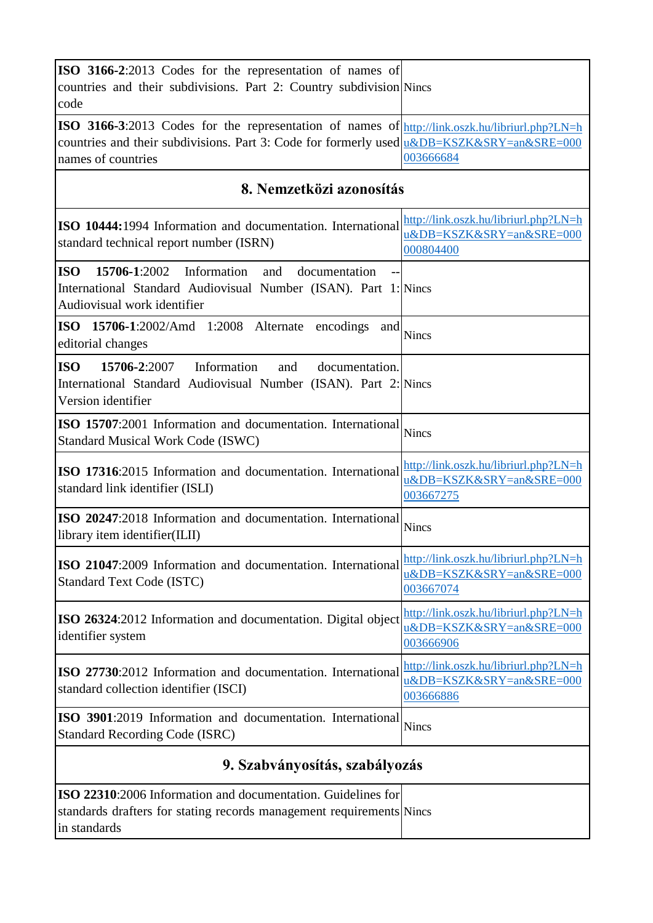| ISO 3166-2:2013 Codes for the representation of names of<br>countries and their subdivisions. Part 2: Country subdivision Nincs<br>code                                                                                  |                                                                                |
|--------------------------------------------------------------------------------------------------------------------------------------------------------------------------------------------------------------------------|--------------------------------------------------------------------------------|
| ISO 3166-3:2013 Codes for the representation of names of http://link.oszk.hu/libriurl.php?LN=h<br>countries and their subdivisions. Part 3: Code for formerly used $\mu\&DB=KSZK\&SRY=an\&SRE=000$<br>names of countries | 003666684                                                                      |
| 8. Nemzetközi azonosítás                                                                                                                                                                                                 |                                                                                |
| ISO 10444:1994 Information and documentation. International<br>standard technical report number (ISRN)                                                                                                                   | http://link.oszk.hu/libriurl.php?LN=h<br>u&DB=KSZK&SRY=an&SRE=000<br>000804400 |
| <b>ISO</b><br><b>15706-1:2002</b> Information<br>and<br>documentation<br>International Standard Audiovisual Number (ISAN). Part 1: Nincs<br>Audiovisual work identifier                                                  |                                                                                |
| ISO 15706-1:2002/Amd 1:2008 Alternate encodings<br>and<br>editorial changes                                                                                                                                              | <b>Nincs</b>                                                                   |
| <b>ISO</b><br>15706-2:2007<br>Information<br>and<br>documentation.<br>International Standard Audiovisual Number (ISAN). Part 2: Nincs<br>Version identifier                                                              |                                                                                |
| ISO 15707:2001 Information and documentation. International<br><b>Standard Musical Work Code (ISWC)</b>                                                                                                                  | <b>Nincs</b>                                                                   |
| ISO 17316:2015 Information and documentation. International<br>standard link identifier (ISLI)                                                                                                                           | http://link.oszk.hu/libriurl.php?LN=h<br>u&DB=KSZK&SRY=an&SRE=000<br>003667275 |
| ISO 20247:2018 Information and documentation. International<br>library item identifier(ILII)                                                                                                                             | <b>Nincs</b>                                                                   |
| ISO 21047:2009 Information and documentation. International<br><b>Standard Text Code (ISTC)</b>                                                                                                                          | http://link.oszk.hu/libriurl.php?LN=h<br>u&DB=KSZK&SRY=an&SRE=000<br>003667074 |
| ISO 26324:2012 Information and documentation. Digital object<br>identifier system                                                                                                                                        | http://link.oszk.hu/libriurl.php?LN=h<br>u&DB=KSZK&SRY=an&SRE=000<br>003666906 |
| ISO 27730:2012 Information and documentation. International<br>standard collection identifier (ISCI)                                                                                                                     | http://link.oszk.hu/libriurl.php?LN=h<br>u&DB=KSZK&SRY=an&SRE=000<br>003666886 |
| ISO 3901:2019 Information and documentation. International<br><b>Standard Recording Code (ISRC)</b>                                                                                                                      | <b>Nincs</b>                                                                   |
| 9. Szabványosítás, szabályozás                                                                                                                                                                                           |                                                                                |
| ISO 22310:2006 Information and documentation. Guidelines for<br>standards drafters for stating records management requirements Nincs<br>in standards                                                                     |                                                                                |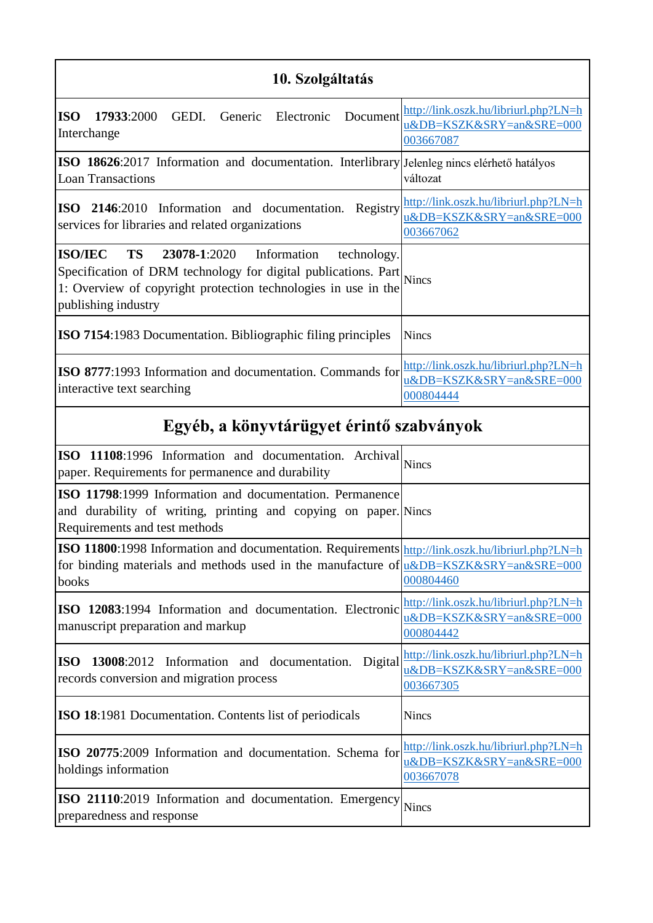### **10. Szolgáltatás**

| <b>ISO</b><br>17933:2000<br>GEDI. Generic<br>Electronic<br>Document<br>Interchange                                                                                                                                                      | http://link.oszk.hu/libriurl.php?LN=h<br>u&DB=KSZK&SRY=an&SRE=000<br>003667087 |
|-----------------------------------------------------------------------------------------------------------------------------------------------------------------------------------------------------------------------------------------|--------------------------------------------------------------------------------|
| ISO 18626:2017 Information and documentation. Interlibrary Jelenleg nincs elérhető hatályos<br><b>Loan Transactions</b>                                                                                                                 | változat                                                                       |
| Registry<br>ISO 2146:2010 Information and documentation.<br>services for libraries and related organizations                                                                                                                            | http://link.oszk.hu/libriurl.php?LN=h<br>u&DB=KSZK&SRY=an&SRE=000<br>003667062 |
| <b>ISO/IEC</b><br><b>TS</b><br>23078-1:2020 Information<br>technology.<br>Specification of DRM technology for digital publications. Part Nincs<br>1: Overview of copyright protection technologies in use in the<br>publishing industry |                                                                                |
| <b>ISO 7154:1983 Documentation. Bibliographic filing principles</b>                                                                                                                                                                     | <b>Nincs</b>                                                                   |
| <b>ISO 8777:1993</b> Information and documentation. Commands for<br>interactive text searching                                                                                                                                          | http://link.oszk.hu/libriurl.php?LN=h<br>u&DB=KSZK&SRY=an&SRE=000<br>000804444 |

# **Egyéb, a könyvtárügyet érintő szabványok**

| ISO 11108:1996 Information and documentation. Archival<br>paper. Requirements for permanence and durability                                                                                             | <b>Nincs</b>                                                                   |
|---------------------------------------------------------------------------------------------------------------------------------------------------------------------------------------------------------|--------------------------------------------------------------------------------|
| ISO 11798:1999 Information and documentation. Permanence<br>and durability of writing, printing and copying on paper. Nincs<br>Requirements and test methods                                            |                                                                                |
| ISO 11800:1998 Information and documentation. Requirements http://link.oszk.hu/libriurl.php?LN=h<br>for binding materials and methods used in the manufacture of $u\&DB=KSZK\&SRY=an\&SRE=000$<br>books | 000804460                                                                      |
| ISO 12083:1994 Information and documentation. Electronic<br>manuscript preparation and markup                                                                                                           | http://link.oszk.hu/libriurl.php?LN=h<br>u&DB=KSZK&SRY=an&SRE=000<br>000804442 |
| Digital<br>13008:2012 Information and documentation.<br><b>ISO</b><br>records conversion and migration process                                                                                          | http://link.oszk.hu/libriurl.php?LN=h<br>u&DB=KSZK&SRY=an&SRE=000<br>003667305 |
| <b>ISO 18:1981 Documentation. Contents list of periodicals</b>                                                                                                                                          | <b>Nincs</b>                                                                   |
| ISO 20775:2009 Information and documentation. Schema for<br>holdings information                                                                                                                        | http://link.oszk.hu/libriurl.php?LN=h<br>u&DB=KSZK&SRY=an&SRE=000<br>003667078 |
| ISO 21110:2019 Information and documentation. Emergency<br>preparedness and response                                                                                                                    | <b>Nincs</b>                                                                   |